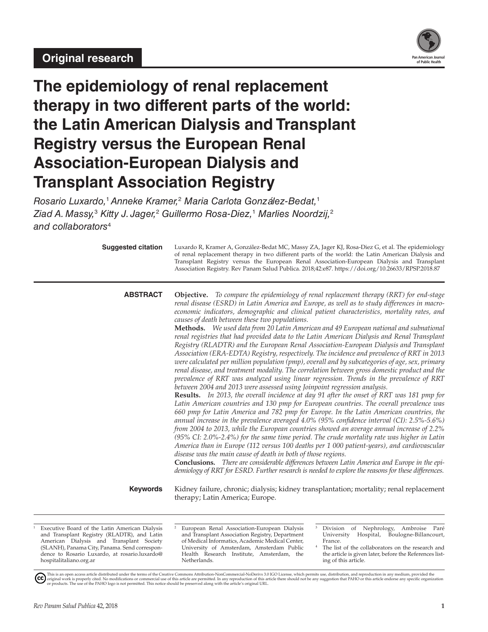

# **The epidemiology of renal replacement therapy in two different parts of the world: the Latin American Dialysis and Transplant Registry versus the European Renal Association-European Dialysis and Transplant Association Registry**

*Rosario Luxardo,*1*Anneke Kramer,*<sup>2</sup>  *Maria Carlota González-Bedat,*<sup>1</sup> *Ziad A. Massy,*<sup>3</sup>  *Kitty J. Jager,*<sup>2</sup>  *Guillermo Rosa-Diez,*<sup>1</sup>  *Marlies Noordzij,*<sup>2</sup> *and collaborators*<sup>4</sup>

| <b>Suggested citation</b> | Luxardo R, Kramer A, González-Bedat MC, Massy ZA, Jager KJ, Rosa-Diez G, et al. The epidemiology<br>of renal replacement therapy in two different parts of the world: the Latin American Dialysis and<br>Transplant Registry versus the European Renal Association-European Dialysis and Transplant<br>Association Registry. Rev Panam Salud Publica. 2018;42:e87. https://doi.org/10.26633/RPSP.2018.87                                                                                                                                                                                                                                                                                                                                                                                                                                                                                                                                                                                                                                                                                                                                                                                                                                                                                                                                                                                                                                                                                                                                                                                                                                                                                                                                                                                                                                                                                                                                                                                                                                         |
|---------------------------|--------------------------------------------------------------------------------------------------------------------------------------------------------------------------------------------------------------------------------------------------------------------------------------------------------------------------------------------------------------------------------------------------------------------------------------------------------------------------------------------------------------------------------------------------------------------------------------------------------------------------------------------------------------------------------------------------------------------------------------------------------------------------------------------------------------------------------------------------------------------------------------------------------------------------------------------------------------------------------------------------------------------------------------------------------------------------------------------------------------------------------------------------------------------------------------------------------------------------------------------------------------------------------------------------------------------------------------------------------------------------------------------------------------------------------------------------------------------------------------------------------------------------------------------------------------------------------------------------------------------------------------------------------------------------------------------------------------------------------------------------------------------------------------------------------------------------------------------------------------------------------------------------------------------------------------------------------------------------------------------------------------------------------------------------|
| <b>ABSTRACT</b>           | Objective. To compare the epidemiology of renal replacement therapy (RRT) for end-stage<br>renal disease (ESRD) in Latin America and Europe, as well as to study differences in macro-<br>economic indicators, demographic and clinical patient characteristics, mortality rates, and<br>causes of death between these two populations.<br>Methods. We used data from 20 Latin American and 49 European national and subnational<br>renal registries that had provided data to the Latin American Dialysis and Renal Transplant<br>Registry (RLADTR) and the European Renal Association-European Dialysis and Transplant<br>Association (ERA-EDTA) Registry, respectively. The incidence and prevalence of RRT in 2013<br>were calculated per million population (pmp), overall and by subcategories of age, sex, primary<br>renal disease, and treatment modality. The correlation between gross domestic product and the<br>prevalence of RRT was analyzed using linear regression. Trends in the prevalence of RRT<br>between 2004 and 2013 were assessed using Joinpoint regression analysis.<br>Results. In 2013, the overall incidence at day 91 after the onset of RRT was 181 pmp for<br>Latin American countries and 130 pmp for European countries. The overall prevalence was<br>660 pmp for Latin America and 782 pmp for Europe. In the Latin American countries, the<br>annual increase in the prevalence averaged 4.0% (95% confidence interval (CI): 2.5%-5.6%)<br>from 2004 to 2013, while the European countries showed an average annual increase of 2.2%<br>(95% CI: 2.0%-2.4%) for the same time period. The crude mortality rate was higher in Latin<br>America than in Europe (112 versus 100 deaths per 1 000 patient-years), and cardiovascular<br>disease was the main cause of death in both of those regions.<br>Conclusions. There are considerable differences between Latin America and Europe in the epi-<br>demiology of RRT for ESRD. Further research is needed to explore the reasons for these differences. |
| <b>Keywords</b>           | Kidney failure, chronic; dialysis; kidney transplantation; mortality; renal replacement<br>therapy; Latin America; Europe.                                                                                                                                                                                                                                                                                                                                                                                                                                                                                                                                                                                                                                                                                                                                                                                                                                                                                                                                                                                                                                                                                                                                                                                                                                                                                                                                                                                                                                                                                                                                                                                                                                                                                                                                                                                                                                                                                                                       |

<sup>1</sup> Executive Board of the Latin American Dialysis and Transplant Registry (RLADTR), and Latin American Dialysis and Transplant Society (SLANH), Panama City, Panama. Send correspondence to Rosario Luxardo, at [rosario.luxardo@](mailto:rosario.luxardo@hospitalitaliano.org.ar) [hospitalitaliano.org.ar](mailto:rosario.luxardo@hospitalitaliano.org.ar)

<sup>2</sup> European Renal Association-European Dialysis and Transplant Association Registry, Department of Medical Informatics, Academic Medical Center, University of Amsterdam, Amsterdam Public Health Research Institute, Amsterdam, the Netherlands.

Division of Nephrology, Ambroise Paré<br>
University Hospital, Boulogne-Billancourt, Hospital, Boulogne-Billancourt, France.

The list of the collaborators on the research and the article is given later, before the References listing of this article.

This is an open access article distributed under the terms of the [Creative Commons Attribution-NonCommercial-NoDerivs 3.0 IGO License](https://creativecommons.org/licenses/by-nc-nd/3.0/igo/legalcode), which permits use, distribution, and reproduction in any medium, provided the<br>orignal w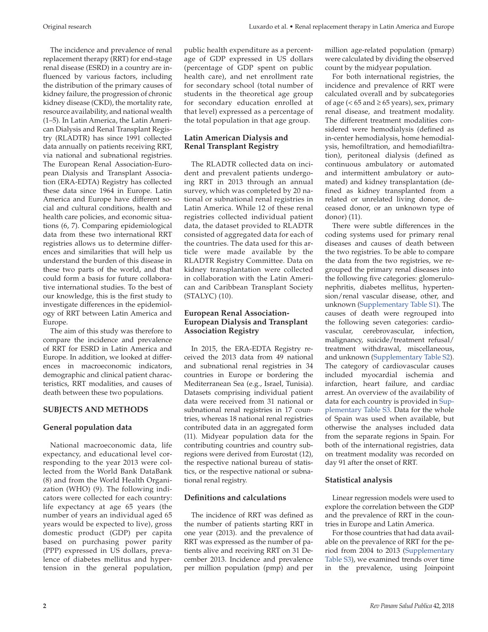The incidence and prevalence of renal replacement therapy (RRT) for end-stage renal disease (ESRD) in a country are influenced by various factors, including the distribution of the primary causes of kidney failure, the progression of chronic kidney disease (CKD), the mortality rate, resource availability, and national wealth (1–5). In Latin America, the Latin American Dialysis and Renal Transplant Registry (RLADTR) has since 1991 collected data annually on patients receiving RRT, via national and subnational registries. The European Renal Association-European Dialysis and Transplant Association (ERA-EDTA) Registry has collected these data since 1964 in Europe. Latin America and Europe have different social and cultural conditions, health and health care policies, and economic situations (6, 7). Comparing epidemiological data from these two international RRT registries allows us to determine differences and similarities that will help us understand the burden of this disease in these two parts of the world, and that could form a basis for future collaborative international studies. To the best of our knowledge, this is the first study to investigate differences in the epidemiology of RRT between Latin America and Europe.

The aim of this study was therefore to compare the incidence and prevalence of RRT for ESRD in Latin America and Europe. In addition, we looked at differences in macroeconomic indicators, demographic and clinical patient characteristics, RRT modalities, and causes of death between these two populations.

# **SUBJECTS AND METHODS**

# **General population data**

National macroeconomic data, life expectancy, and educational level corresponding to the year 2013 were collected from the World Bank DataBank (8) and from the World Health Organization (WHO) (9). The following indicators were collected for each country: life expectancy at age 65 years (the number of years an individual aged 65 years would be expected to live), gross domestic product (GDP) per capita based on purchasing power parity (PPP) expressed in US dollars, prevalence of diabetes mellitus and hypertension in the general population,

public health expenditure as a percentage of GDP expressed in US dollars (percentage of GDP spent on public health care), and net enrollment rate for secondary school (total number of students in the theoretical age group for secondary education enrolled at that level) expressed as a percentage of the total population in that age group.

# **Latin American Dialysis and Renal Transplant Registry**

The RLADTR collected data on incident and prevalent patients undergoing RRT in 2013 through an annual survey, which was completed by 20 national or subnational renal registries in Latin America. While 12 of these renal registries collected individual patient data, the dataset provided to RLADTR consisted of aggregated data for each of the countries. The data used for this article were made available by the RLADTR Registry Committee. Data on kidney transplantation were collected in collaboration with the Latin American and Caribbean Transplant Society (STALYC) (10).

# **European Renal Association-European Dialysis and Transplant Association Registry**

In 2015, the ERA-EDTA Registry received the 2013 data from 49 national and subnational renal registries in 34 countries in Europe or bordering the Mediterranean Sea (e.g., Israel, Tunisia). Datasets comprising individual patient data were received from 31 national or subnational renal registries in 17 countries, whereas 18 national renal registries contributed data in an aggregated form (11). Midyear population data for the contributing countries and country subregions were derived from Eurostat (12), the respective national bureau of statistics, or the respective national or subnational renal registry.

# **Definitions and calculations**

The incidence of RRT was defined as the number of patients starting RRT in one year (2013). and the prevalence of RRT was expressed as the number of patients alive and receiving RRT on 31 December 2013. Incidence and prevalence per million population (pmp) and per

million age-related population (pmarp) were calculated by dividing the observed count by the midyear population.

For both international registries, the incidence and prevalence of RRT were calculated overall and by subcategories of age ( $\lt 65$  and  $\ge 65$  years), sex, primary renal disease, and treatment modality. The different treatment modalities considered were hemodialysis (defined as in-center hemodialysis, home hemodialysis, hemofiltration, and hemodiafiltration), peritoneal dialysis (defined as continuous ambulatory or automated and intermittent ambulatory or automated) and kidney transplantation (defined as kidney transplanted from a related or unrelated living donor, deceased donor, or an unknown type of donor) (11).

There were subtle differences in the coding systems used for primary renal diseases and causes of death between the two registries. To be able to compare the data from the two registries, we regrouped the primary renal diseases into the following five categories: glomerulonephritis, diabetes mellitus, hypertension/renal vascular disease, other, and unknown ([Supplementary Table S1\)](https://www.paho.org/journal/index.php?option=com_docman&view=download&slug=87-17-746-luxardo-supplementary-material-edit-finalbb&Itemid=). The causes of death were regrouped into the following seven categories: cardiovascular, cerebrovascular, infection, malignancy, suicide/treatment refusal/ treatment withdrawal, miscellaneous, and unknown ([Supplementary Table S2\)](https://www.paho.org/journal/index.php?option=com_docman&view=download&slug=87-17-746-luxardo-supplementary-material-edit-finalbb&Itemid=). The category of cardiovascular causes included myocardial ischemia and infarction, heart failure, and cardiac arrest. An overview of the availability of data for each country is provided in [Sup](https://www.paho.org/journal/index.php?option=com_docman&view=download&slug=87-17-746-luxardo-supplementary-material-edit-finalbb&Itemid=)[plementary Table S3.](https://www.paho.org/journal/index.php?option=com_docman&view=download&slug=87-17-746-luxardo-supplementary-material-edit-finalbb&Itemid=) Data for the whole of Spain was used when available, but otherwise the analyses included data from the separate regions in Spain. For both of the international registries, data on treatment modality was recorded on day 91 after the onset of RRT.

# **Statistical analysis**

Linear regression models were used to explore the correlation between the GDP and the prevalence of RRT in the countries in Europe and Latin America.

For those countries that had data available on the prevalence of RRT for the period from 2004 to 2013 ([Supplementary](https://www.paho.org/journal/index.php?option=com_docman&view=download&slug=87-17-746-luxardo-supplementary-material-edit-finalbb&Itemid=) [Table S3\)](https://www.paho.org/journal/index.php?option=com_docman&view=download&slug=87-17-746-luxardo-supplementary-material-edit-finalbb&Itemid=), we examined trends over time in the prevalence, using Joinpoint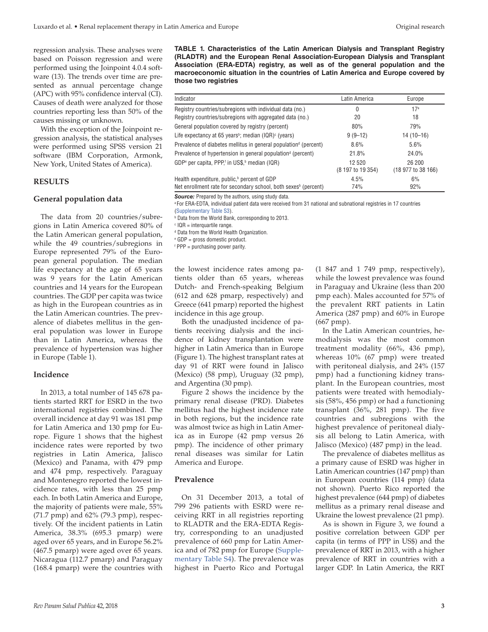regression analysis. These analyses were based on Poisson regression and were performed using the Joinpoint 4.0.4 software (13). The trends over time are presented as annual percentage change (APC) with 95% confidence interval (CI). Causes of death were analyzed for those countries reporting less than 50% of the causes missing or unknown.

With the exception of the Joinpoint regression analysis, the statistical analyses were performed using SPSS version 21 software (IBM Corporation, Armonk, New York, United States of America).

#### **RESULTS**

#### **General population data**

The data from 20 countries/subregions in Latin America covered 80% of the Latin American general population, while the 49 countries/subregions in Europe represented 79% of the European general population. The median life expectancy at the age of 65 years was 9 years for the Latin American countries and 14 years for the European countries. The GDP per capita was twice as high in the European countries as in the Latin American countries. The prevalence of diabetes mellitus in the general population was lower in Europe than in Latin America, whereas the prevalence of hypertension was higher in Europe (Table 1).

#### **Incidence**

In 2013, a total number of 145 678 patients started RRT for ESRD in the two international registries combined. The overall incidence at day 91 was 181 pmp for Latin America and 130 pmp for Europe. Figure 1 shows that the highest incidence rates were reported by two registries in Latin America, Jalisco (Mexico) and Panama, with 479 pmp and 474 pmp, respectively. Paraguay and Montenegro reported the lowest incidence rates, with less than 25 pmp each. In both Latin America and Europe, the majority of patients were male, 55% (71.7 pmp) and 62% (79.3 pmp), respectively. Of the incident patients in Latin America, 38.3% (695.3 pmarp) were aged over 65 years, and in Europe 56.2% (467.5 pmarp) were aged over 65 years. Nicaragua (112.7 pmarp) and Paraguay (168.4 pmarp) were the countries with

**TABLE 1. Characteristics of the Latin American Dialysis and Transplant Registry (RLADTR) and the European Renal Association-European Dialysis and Transplant Association (ERA-EDTA) registry, as well as of the general population and the macroeconomic situation in the countries of Latin America and Europe covered by those two registries**

| Indicator                                                                         | Latin America                | Europe                       |
|-----------------------------------------------------------------------------------|------------------------------|------------------------------|
| Registry countries/subregions with individual data (no.)                          | 0                            | 17 <sup>a</sup>              |
| Registry countries/subregions with aggregated data (no.)                          | 20                           | 18                           |
| General population covered by registry (percent)                                  | 80%                          | 79%                          |
| Life expectancy at 65 years <sup>b</sup> ; median $(IQR)^c$ (years)               | $9(9-12)$                    | 14 (10-16)                   |
| Prevalence of diabetes mellitus in general population <sup>d</sup> (percent)      | 8.6%                         | 5.6%                         |
| Prevalence of hypertension in general population <sup>d</sup> (percent)           | 21.8%                        | 24.0%                        |
| GDP <sup>e</sup> per capita, PPP, <sup>t</sup> in US\$, <sup>b</sup> median (IQR) | 12 5 20<br>(8 197 to 19 354) | 26 200<br>(18 977 to 38 166) |
| Health expenditure, public, <sup>b</sup> percent of GDP                           | 4.5%                         | 6%                           |

Net enrollment rate for secondary school, both sexes $^{\rm b}$  (percent)  $74\%$  74% 92%

**Source:** Prepared by the authors, using study data.

a For ERA-EDTA, individual patient data were received from 31 national and subnational registries in 17 countries [\(Supplementary Table S3](https://www.paho.org/journal/index.php?option=com_docman&view=download&slug=87-17-746-luxardo-supplementary-material-edit-finalbb&Itemid=)).

**b** Data from the World Bank, corresponding to 2013.

 $c$  IQR = interquartile range.

d Data from the World Health Organization.

e GDP = gross domestic product.

f PPP = purchasing power parity.

the lowest incidence rates among patients older than 65 years, whereas Dutch- and French-speaking Belgium (612 and 628 pmarp, respectively) and Greece (641 pmarp) reported the highest incidence in this age group.

Both the unadjusted incidence of patients receiving dialysis and the incidence of kidney transplantation were higher in Latin America than in Europe (Figure 1). The highest transplant rates at day 91 of RRT were found in Jalisco (Mexico) (58 pmp), Uruguay (32 pmp), and Argentina (30 pmp).

Figure 2 shows the incidence by the primary renal disease (PRD). Diabetes mellitus had the highest incidence rate in both regions, but the incidence rate was almost twice as high in Latin America as in Europe (42 pmp versus 26 pmp). The incidence of other primary renal diseases was similar for Latin America and Europe.

#### **Prevalence**

On 31 December 2013, a total of 799 296 patients with ESRD were receiving RRT in all registries reporting to RLADTR and the ERA-EDTA Registry, corresponding to an unadjusted prevalence of 660 pmp for Latin America and of 782 pmp for Europe ([Supple](https://www.paho.org/journal/index.php?option=com_docman&view=download&slug=87-17-746-luxardo-supplementary-material-edit-finalbb&Itemid=)[mentary Table S4\)](https://www.paho.org/journal/index.php?option=com_docman&view=download&slug=87-17-746-luxardo-supplementary-material-edit-finalbb&Itemid=). The prevalence was highest in Puerto Rico and Portugal

(1 847 and 1 749 pmp, respectively), while the lowest prevalence was found in Paraguay and Ukraine (less than 200 pmp each). Males accounted for 57% of the prevalent RRT patients in Latin America (287 pmp) and 60% in Europe (667 pmp).

In the Latin American countries, hemodialysis was the most common treatment modality (66%, 436 pmp), whereas 10% (67 pmp) were treated with peritoneal dialysis, and 24% (157 pmp) had a functioning kidney transplant. In the European countries, most patients were treated with hemodialysis (58%, 456 pmp) or had a functioning transplant (36%, 281 pmp). The five countries and subregions with the highest prevalence of peritoneal dialysis all belong to Latin America, with Jalisco (Mexico) (487 pmp) in the lead.

The prevalence of diabetes mellitus as a primary cause of ESRD was higher in Latin American countries (147 pmp) than in European countries (114 pmp) (data not shown). Puerto Rico reported the highest prevalence (644 pmp) of diabetes mellitus as a primary renal disease and Ukraine the lowest prevalence (21 pmp).

As is shown in Figure 3, we found a positive correlation between GDP per capita (in terms of PPP in US\$) and the prevalence of RRT in 2013, with a higher prevalence of RRT in countries with a larger GDP. In Latin America, the RRT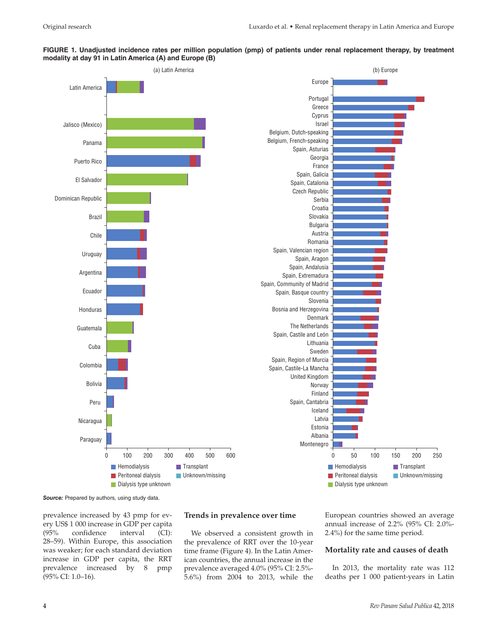# **FIGURE 1. Unadjusted incidence rates per million population (pmp) of patients under renal replacement therapy, by treatment modality at day 91 in Latin America (A) and Europe (B)**



**Source:** Prepared by authors, using study data.

prevalence increased by 43 pmp for every US\$ 1 000 increase in GDP per capita (95% confidence interval (CI): 28–59). Within Europe, this association was weaker; for each standard deviation increase in GDP per capita, the RRT prevalence increased by 8 pmp (95% CI: 1.0–16).

# **Trends in prevalence over time**

We observed a consistent growth in the prevalence of RRT over the 10-year time frame (Figure 4). In the Latin American countries, the annual increase in the prevalence averaged 4.0% (95% CI: 2.5%- 5.6%) from 2004 to 2013, while the European countries showed an average annual increase of 2.2% (95% CI: 2.0%- 2.4%) for the same time period.

#### **Mortality rate and causes of death**

In 2013, the mortality rate was 112 deaths per 1 000 patient-years in Latin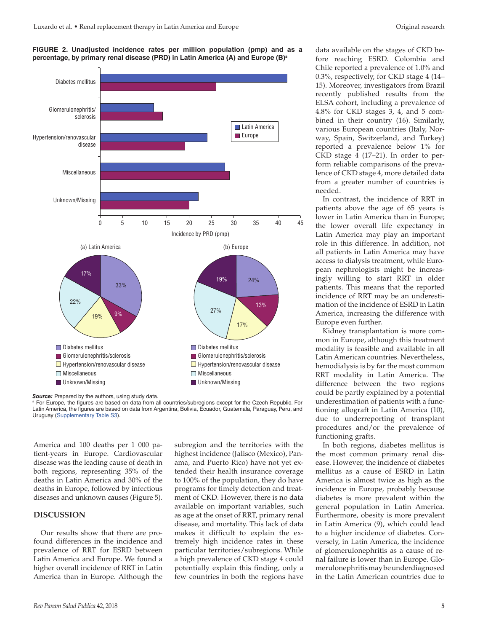



**Source:** Prepared by the authors, using study data.

America and 100 deaths per 1 000 patient-years in Europe. Cardiovascular disease was the leading cause of death in both regions, representing 35% of the deaths in Latin America and 30% of the deaths in Europe, followed by infectious diseases and unknown causes (Figure 5).

### **DISCUSSION**

Our results show that there are profound differences in the incidence and prevalence of RRT for ESRD between Latin America and Europe. We found a higher overall incidence of RRT in Latin America than in Europe. Although the

subregion and the territories with the highest incidence (Jalisco (Mexico), Panama, and Puerto Rico) have not yet extended their health insurance coverage to 100% of the population, they do have programs for timely detection and treatment of CKD. However, there is no data available on important variables, such as age at the onset of RRT, primary renal disease, and mortality. This lack of data makes it difficult to explain the extremely high incidence rates in these particular territories/subregions. While a high prevalence of CKD stage 4 could potentially explain this finding, only a few countries in both the regions have

data available on the stages of CKD before reaching ESRD. Colombia and Chile reported a prevalence of 1.0% and 0.3%, respectively, for CKD stage 4 (14– 15). Moreover, investigators from Brazil recently published results from the ELSA cohort, including a prevalence of 4.8% for CKD stages 3, 4, and 5 combined in their country (16). Similarly, various European countries (Italy, Norway, Spain, Switzerland, and Turkey) reported a prevalence below 1% for CKD stage 4 (17–21). In order to perform reliable comparisons of the prevalence of CKD stage 4, more detailed data from a greater number of countries is needed.

In contrast, the incidence of RRT in patients above the age of 65 years is lower in Latin America than in Europe; the lower overall life expectancy in Latin America may play an important role in this difference. In addition, not all patients in Latin America may have access to dialysis treatment, while European nephrologists might be increasingly willing to start RRT in older patients. This means that the reported incidence of RRT may be an underestimation of the incidence of ESRD in Latin America, increasing the difference with Europe even further.

Kidney transplantation is more common in Europe, although this treatment modality is feasible and available in all Latin American countries. Nevertheless, hemodialysis is by far the most common RRT modality in Latin America. The difference between the two regions could be partly explained by a potential underestimation of patients with a functioning allograft in Latin America (10), due to underreporting of transplant procedures and/or the prevalence of functioning grafts.

In both regions, diabetes mellitus is the most common primary renal disease. However, the incidence of diabetes mellitus as a cause of ESRD in Latin America is almost twice as high as the incidence in Europe, probably because diabetes is more prevalent within the general population in Latin America. Furthermore, obesity is more prevalent in Latin America (9), which could lead to a higher incidence of diabetes. Conversely, in Latin America, the incidence of glomerulonephritis as a cause of renal failure is lower than in Europe. Glomerulonephritis may be underdiagnosed in the Latin American countries due to

a For Europe, the figures are based on data from all countries/subregions except for the Czech Republic. For Latin America, the figures are based on data from Argentina, Bolivia, Ecuador, Guatemala, Paraguay, Peru, and Uruguay [\(Supplementary Table S3](https://www.paho.org/journal/index.php?option=com_docman&view=download&slug=87-17-746-luxardo-supplementary-material-edit-finalbb&Itemid=)).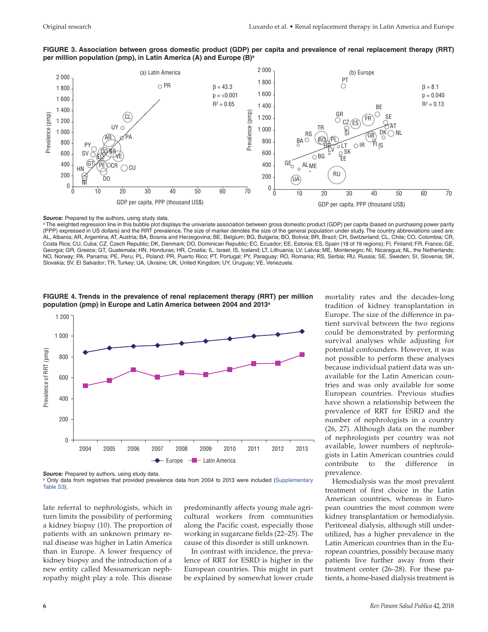



#### Source: Prepared by the authors, using study data.

a The weighted regression line in this bubble plot displays the univariate association between gross domestic product (GDP) per capita (based on purchasing power parity (PPP) expressed in US dollars) and the RRT prevalence. The size of marker denotes the size of the general population under study. The country abbreviations used are: AL, Albania; AR, Argentina; AT, Austria; BA, Bosnia and Herzegovina; BE, Belgium; BG, Bulgaria; BO, Bolivia; BR, Brazil; CH, Switzerland; CL, Chile; CO, Colombia; CR, Costa Rica; CU, Cuba; CZ, Czech Republic; DK, Denmark; DO, Dominican Republic; EC, Ecuador; EE, Estonia; ES, Spain (18 of 19 regions); FI, Finland; FR, France; GE, Georgia; GR, Greece; GT, Guatemala; HN, Honduras; HR, Croatia; IL, Israel; IS, Iceland; LT, Lithuania; LV, Latvia; ME, Montenegro; NI, Nicaragua; NL, the Netherlands; NO, Norway; PA, Panama; PE, Peru; PL, Poland; PR, Puerto Rico; PT, Portugal; PY, Paraguay; RO, Romania; RS, Serbia; RU, Russia; SE, Sweden; SI, Slovenia; SK, Slovakia; SV, El Salvador; TR, Turkey; UA, Ukraine; UK, United Kingdom; UY, Uruguay; VE, Venezuela.



**FIGURE 4. Trends in the prevalence of renal replacement therapy (RRT) per million population (pmp) in Europe and Latin America between 2004 and 2013a**

**Source:** Prepared by authors, using study data.

<sup>a</sup> Only data from registries that provided prevalence data from 2004 to 2013 were included ([Supplementary](https://www.paho.org/journal/index.php?option=com_docman&view=download&slug=87-17-746-luxardo-supplementary-material-edit-finalbb&Itemid=) [Table S3](https://www.paho.org/journal/index.php?option=com_docman&view=download&slug=87-17-746-luxardo-supplementary-material-edit-finalbb&Itemid=)).

late referral to nephrologists, which in turn limits the possibility of performing a kidney biopsy (10). The proportion of patients with an unknown primary renal disease was higher in Latin America than in Europe. A lower frequency of kidney biopsy and the introduction of a new entity called Mesoamerican nephropathy might play a role. This disease

predominantly affects young male agricultural workers from communities along the Pacific coast, especially those working in sugarcane fields (22–25). The cause of this disorder is still unknown.

In contrast with incidence, the prevalence of RRT for ESRD is higher in the European countries. This might in part be explained by somewhat lower crude mortality rates and the decades-long tradition of kidney transplantation in Europe. The size of the difference in patient survival between the two regions could be demonstrated by performing survival analyses while adjusting for potential confounders. However, it was not possible to perform these analyses because individual patient data was unavailable for the Latin American countries and was only available for some European countries. Previous studies have shown a relationship between the prevalence of RRT for ESRD and the number of nephrologists in a country (26, 27). Although data on the number of nephrologists per country was not available, lower numbers of nephrologists in Latin American countries could contribute to the difference in prevalence.

Hemodialysis was the most prevalent treatment of first choice in the Latin American countries, whereas in European countries the most common were kidney transplantation or hemodialysis. Peritoneal dialysis, although still underutilized, has a higher prevalence in the Latin American countries than in the European countries, possibly because many patients live further away from their treatment center (26–28). For these patients, a home-based dialysis treatment is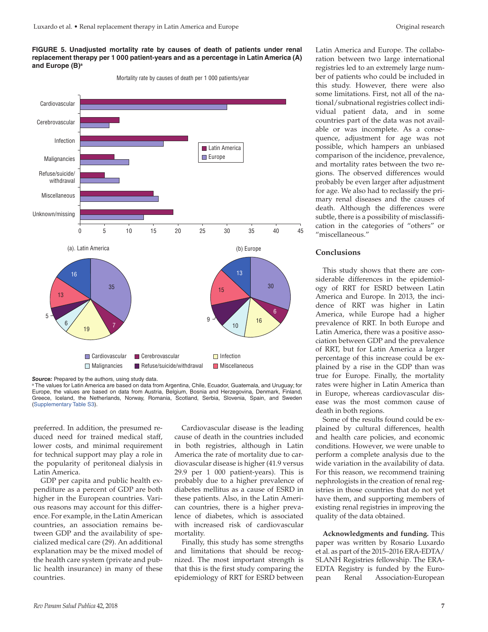### **FIGURE 5. Unadjusted mortality rate by causes of death of patients under renal replacement therapy per 1 000 patient-years and as a percentage in Latin America (A) and Europe (B)a**

(a). Latin America 35 16 13 19 <sup>7</sup> 6 5 6 16 10 9 15 13 30 ■ Cardiovascular ■ Cerebrovascular ■ Infection  $\Box$  Malignancies  $\Box$  Refuse/suicide/withdrawal  $\Box$  Miscellaneous (b) Europe Miscellaneous Refuse/suicide/ withdrawal Malignancies Infection Cardiovascular **Latin America** Europe

Mortality rate by causes of death per 1 000 patients/year

**Source:** Prepared by the authors, using study data. a The values for Latin America are based on data from Argentina, Chile, Ecuador, Guatemala, and Uruguay; for Europe, the values are based on data from Austria, Belgium, Bosnia and Herzegovina, Denmark, Finland, Greece, Iceland, the Netherlands, Norway, Romania, Scotland, Serbia, Slovenia, Spain, and Sweden [\(Supplementary Table S3](https://www.paho.org/journal/index.php?option=com_docman&view=download&slug=87-17-746-luxardo-supplementary-material-edit-finalbb&Itemid=)).

preferred. In addition, the presumed reduced need for trained medical staff, lower costs, and minimal requirement for technical support may play a role in the popularity of peritoneal dialysis in Latin America.

GDP per capita and public health expenditure as a percent of GDP are both higher in the European countries. Various reasons may account for this difference. For example, in the Latin American countries, an association remains between GDP and the availability of specialized medical care (29). An additional explanation may be the mixed model of the health care system (private and public health insurance) in many of these countries.

Cardiovascular disease is the leading cause of death in the countries included in both registries, although in Latin America the rate of mortality due to cardiovascular disease is higher (41.9 versus 29.9 per 1 000 patient-years). This is probably due to a higher prevalence of diabetes mellitus as a cause of ESRD in these patients. Also, in the Latin American countries, there is a higher prevalence of diabetes, which is associated with increased risk of cardiovascular mortality.

Finally, this study has some strengths and limitations that should be recognized. The most important strength is that this is the first study comparing the epidemiology of RRT for ESRD between

Latin America and Europe. The collaboration between two large international registries led to an extremely large number of patients who could be included in this study. However, there were also some limitations. First, not all of the national/subnational registries collect individual patient data, and in some countries part of the data was not available or was incomplete. As a consequence, adjustment for age was not possible, which hampers an unbiased comparison of the incidence, prevalence, and mortality rates between the two regions. The observed differences would probably be even larger after adjustment for age. We also had to reclassify the primary renal diseases and the causes of death. Although the differences were subtle, there is a possibility of misclassification in the categories of "others" or "miscellaneous."

### **Conclusions**

This study shows that there are considerable differences in the epidemiology of RRT for ESRD between Latin America and Europe. In 2013, the incidence of RRT was higher in Latin America, while Europe had a higher prevalence of RRT. In both Europe and Latin America, there was a positive association between GDP and the prevalence of RRT, but for Latin America a larger percentage of this increase could be explained by a rise in the GDP than was true for Europe. Finally, the mortality rates were higher in Latin America than in Europe, whereas cardiovascular disease was the most common cause of death in both regions.

Some of the results found could be explained by cultural differences, health and health care policies, and economic conditions. However, we were unable to perform a complete analysis due to the wide variation in the availability of data. For this reason, we recommend training nephrologists in the creation of renal registries in those countries that do not yet have them, and supporting members of existing renal registries in improving the quality of the data obtained.

**Acknowledgments and funding.** This paper was written by Rosario Luxardo et al. as part of the 2015–2016 ERA-EDTA/ SLANH Registries fellowship. The ERA-EDTA Registry is funded by the European Renal Association-European

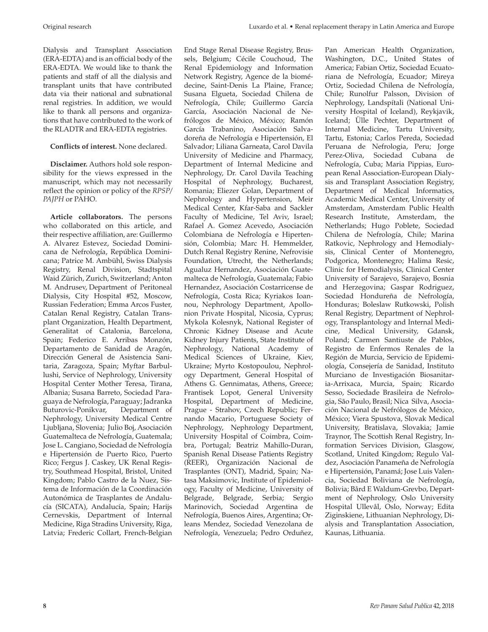Dialysis and Transplant Association (ERA-EDTA) and is an official body of the ERA-EDTA. We would like to thank the patients and staff of all the dialysis and transplant units that have contributed data via their national and subnational renal registries. In addition, we would like to thank all persons and organizations that have contributed to the work of the RLADTR and ERA-EDTA registries.

### **Conflicts of interest.** None declared.

**Disclaimer.** Authors hold sole responsibility for the views expressed in the manuscript, which may not necessarily reflect the opinion or policy of the *RPSP/ PAJPH* or PAHO.

**Article collaborators.** The persons who collaborated on this article, and their respective affiliation, are: Guillermo A. Alvarez Estevez, Sociedad Dominicana de Nefrología, República Dominicana; Patrice M. Ambühl, Swiss Dialysis Registry, Renal Division, Stadtspital Waid Zürich, Zurich, Switzerland; Anton M. Andrusev, Department of Peritoneal Dialysis, City Hospital #52, Moscow, Russian Federation; Emma Arcos Fuster, Catalan Renal Registry, Catalan Transplant Organization, Health Department, Generalitat of Catalonia, Barcelona, Spain; Federico E. Arribas Monzón, Departamento de Sanidad de Aragón, Dirección General de Asistencia Sanitaria, Zaragoza, Spain; Myftar Barbullushi, Service of Nephrology, University Hospital Center Mother Teresa, Tirana, Albania; Susana Barreto, Sociedad Paraguaya de Nefrología, Paraguay; Jadranka Buturovic-Ponikvar, Department of Nephrology, University Medical Centre Ljubljana, Slovenia; Julio Boj, Asociación Guatemalteca de Nefrología, Guatemala; Jose L. Cangiano, Sociedad de Nefrología e Hipertensión de Puerto Rico, Puerto Rico; Fergus J. Caskey, UK Renal Registry, Southmead Hospital, Bristol, United Kingdom; Pablo Castro de la Nuez, Sistema de Información de la Coordinación Autonómica de Trasplantes de Andalucía (SICATA), Andalucía, Spain; Harijs Cernevskis, Department of Internal Medicine, Riga Stradins University, Riga, Latvia; Frederic Collart, French-Belgian

End Stage Renal Disease Registry, Brussels, Belgium; Cécile Couchoud, The Renal Epidemiology and Information Network Registry, Agence de la biomédecine, Saint-Denis La Plaine, France; Susana Elgueta, Sociedad Chilena de Nefrología, Chile; Guillermo García García, Asociación Nacional de Nefrólogos de México, México; Ramón García Trabanino, Asociación Salvadoreña de Nefrología e Hipertensión, El Salvador; Liliana Garneata, Carol Davila University of Medicine and Pharmacy, Department of Internal Medicine and Nephrology, Dr. Carol Davila Teaching Hospital of Nephrology, Bucharest, Romania; Eliezer Golan, Department of Nephrology and Hypertension, Meir Medical Center, Kfar-Saba and Sackler Faculty of Medicine, Tel Aviv, Israel; Rafael A. Gomez Acevedo, Asociación Colombiana de Nefrología e Hipertensión, Colombia; Marc H. Hemmelder, Dutch Renal Registry Renine, Nefrovisie Foundation, Utrecht, the Netherlands; Agualuz Hernandez, Asociación Guatemalteca de Nefrología, Guatemala; Fabio Hernandez, Asociación Costarricense de Nefrología, Costa Rica; Kyriakos Ioannou, Nephrology Department, Apollonion Private Hospital, Nicosia, Cyprus; Mykola Kolesnyk, National Register of Chronic Kidney Disease and Acute Kidney Injury Patients, State Institute of Nephrology, National Academy of Medical Sciences of Ukraine, Kiev, Ukraine; Myrto Kostopoulou, Nephrology Department, General Hospital of Athens G. Gennimatas, Athens, Greece; Frantisek Lopot, General University Hospital, Department of Medicine, Prague - Strahov, Czech Republic; Fernando Macario, Portuguese Society of Nephrology, Nephrology Department, University Hospital of Coimbra, Coimbra, Portugal; Beatriz Mahillo-Duran, Spanish Renal Disease Patients Registry (REER), Organización Nacional de Trasplantes (ONT), Madrid, Spain; Natasa Maksimovic, Institute of Epidemiology, Faculty of Medicine, University of Belgrade, Belgrade, Serbia; Sergio Marinovich, Sociedad Argentina de Nefrología, Buenos Aires, Argentina; Orleans Mendez, Sociedad Venezolana de Nefrología, Venezuela; Pedro Orduñez,

Pan American Health Organization, Washington, D.C., United States of America; Fabian Ortiz, Sociedad Ecuatoriana de Nefrología, Ecuador; Mireya Ortiz, Sociedad Chilena de Nefrología, Chile; Runolfur Palsson, Division of Nephrology, Landspítali (National University Hospital of Iceland), Reykjavik, Iceland; Ülle Pechter, Department of Internal Medicine, Tartu University, Tartu, Estonia; Carlos Pereda, Sociedad Peruana de Nefrologia, Peru; Jorge Perez-Oliva, Sociedad Cubana de Nefrología, Cuba; Maria Pippias, European Renal Association-European Dialysis and Transplant Association Registry, Department of Medical Informatics, Academic Medical Center, University of Amsterdam, Amsterdam Public Health Research Institute, Amsterdam, the Netherlands; Hugo Poblete, Sociedad Chilena de Nefrología, Chile; Marina Ratkovic, Nephrology and Hemodialysis, Clinical Center of Montenegro, Podgorica, Montenegro; Halima Resic, Clinic for Hemodialysis, Clinical Center University of Sarajevo, Sarajevo, Bosnia and Herzegovina; Gaspar Rodriguez, Sociedad Hondureña de Nefrología, Honduras; Boleslaw Rutkowski, Polish Renal Registry, Department of Nephrology, Transplantology and Internal Medicine, Medical University, Gdansk, Poland; Carmen Santiuste de Pablos, Registro de Enfermos Renales de la Región de Murcia, Servicio de Epidemiología, Consejería de Sanidad, Instituto Murciano de Investigación Biosanitaria-Arrixaca, Murcia, Spain; Ricardo Sesso, Sociedade Brasileira de Nefrologia, São Paulo, Brasil; Nica Silva, Asociación Nacional de Nefrólogos de México, México; Viera Spustova, Slovak Medical University, Bratislava, Slovakia; Jamie Traynor, The Scottish Renal Registry, Information Services Division, Glasgow, Scotland, United Kingdom; Regulo Valdez, Asociación Panameña de Nefrología e Hipertensión, Panamá; Jose Luis Valencia, Sociedad Boliviana de Nefrología, Bolivia; Bård E Waldum-Grevbo, Department of Nephrology, Oslo University Hospital Ullevål, Oslo, Norway; Edita Ziginskiene, Lithuanian Nephrology, Dialysis and Transplantation Association, Kaunas, Lithuania.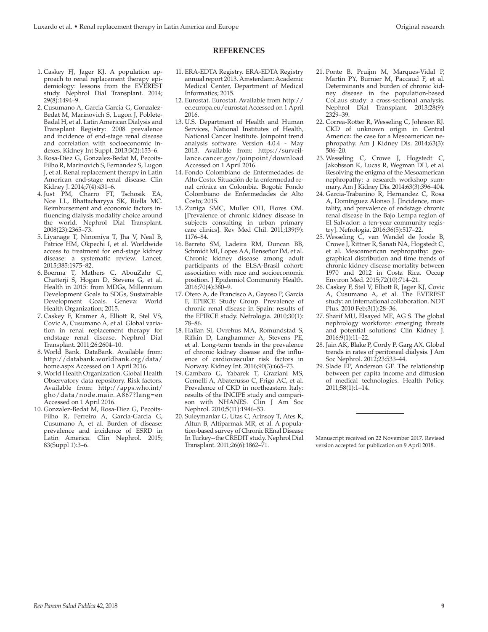# **REFERENCES**

- 1. Caskey FJ, Jager KJ. A population approach to renal replacement therapy epidemiology: lessons from the EVEREST study. Nephrol Dial Transplant. 2014; 29(8):1494–9.
- 2. Cusumano A, Garcia Garcia G, Gonzalez-Bedat M, Marinovich S, Lugon J, Poblete-Badal H, et al. Latin American Dialysis and Transplant Registry: 2008 prevalence and incidence of end-stage renal disease and correlation with socioeconomic indexes. Kidney Int Suppl. 2013;3(2):153–6.
- 3. Rosa-Diez G, Gonzalez-Bedat M, Pecoits-Filho R, Marinovich S, Fernandez S, Lugon J, et al. Renal replacement therapy in Latin American end-stage renal disease. Clin Kidney J. 2014;7(4):431–6.
- 4. Just PM, Charro FT, Tschosik EA, Noe LL, Bhattacharyya SK, Riella MC. Reimbursement and economic factors influencing dialysis modality choice around the world. Nephrol Dial Transplant. 2008(23):2365–73.
- 5. Liyanage T, Ninomiya T, Jha V, Neal B, Patrice HM, Okpechi I, et al. Worldwide access to treatment for end-stage kidney disease: a systematic review. Lancet. 2015;385:1975–82.
- 6. Boerma T, Mathers C, AbouZahr C, Chatterji S, Hogan D, Stevens G, et al. Health in 2015: from MDGs, Millennium Development Goals to SDGs, Sustainable Development Goals. Geneva: World Health Organization; 2015.
- 7. Caskey F, Kramer A, Elliott R, Stel VS, Covic A, Cusumano A, et al. Global variation in renal replacement therapy for endstage renal disease. Nephrol Dial Transplant. 2011;26:2604–10.
- 8. World Bank. DataBank. Available from: [http://databank.worldbank.org/data/](http://databank.worldbank.org/data/home.aspx) [home.aspx](http://databank.worldbank.org/data/home.aspx) Accessed on 1 April 2016.
- 9. World Health Organization. Global Health Observatory data repository. Risk factors. Available from: [http://apps.who.int/](http://apps.who.int/gho/data/node.main.A867?lang=en) [gho/data/node.main.A867?lang=en](http://apps.who.int/gho/data/node.main.A867?lang=en) Accessed on 1 April 2016.
- 10. Gonzalez-Bedat M, Rosa-Diez G, Pecoits-Filho R, Ferreiro A, Garcia-Garcia G, Cusumano A, et al. Burden of disease: prevalence and incidence of ESRD in Latin America. Clin Nephrol. 2015; 83(Suppl 1):3–6.
- 11. ERA-EDTA Registry. ERA-EDTA Registry annual report 2013. Amsterdam: Academic Medical Center, Department of Medical Informatics; 2015.
- 12. Eurostat. Eurostat. Available from [http://](http://ec.europa.eu/eurostat) [ec.europa.eu/eurostat](http://ec.europa.eu/eurostat) Accessed on 1 April 2016.
- 13. U.S. Department of Health and Human Services, National Institutes of Health, National Cancer Institute. Joinpoint trend analysis software. Version 4.0.4 - May 2013. Available from: [https://surveil](https://surveillance.cancer.gov/joinpoint/download)[lance.cancer.gov/joinpoint/download](https://surveillance.cancer.gov/joinpoint/download) Accessed on 1 April 2016.
- 14. Fondo Colombiano de Enfermedades de Alto Costo. Situación de la enfermedad renal crónica en Colombia. Bogotá: Fondo Colombiano de Enfermedades de Alto Costo; 2015.
- 15. Zuniga SMC, Muller OH, Flores OM. [Prevalence of chronic kidney disease in subjects consulting in urban primary care clinics]. Rev Med Chil. 2011;139(9): 1176–84.
- 16. Barreto SM, Ladeira RM, Duncan BB, Schmidt MI, Lopes AA, Benseñor IM, et al. Chronic kidney disease among adult participants of the ELSA-Brasil cohort: association with race and socioeconomic position. J Epidemiol Community Health. 2016;70(4):380–9.
- 17. Otero A, de Francisco A, Gayoso P, García F, EPIRCE Study Group. Prevalence of chronic renal disease in Spain: results of the EPIRCE study. Nefrologia. 2010;30(1): 78–86.
- 18. Hallan SI, Ovrehus MA, Romundstad S, Rifkin D, Langhammer A, Stevens PE, et al. Long-term trends in the prevalence of chronic kidney disease and the influence of cardiovascular risk factors in Norway. Kidney Int. 2016;90(3):665–73.
- 19. Gambaro G, Yabarek T, Graziani MS, Gemelli A, Abaterusso C, Frigo AC, et al. Prevalence of CKD in northeastern Italy: results of the INCIPE study and comparison with NHANES. Clin J Am Soc Nephrol. 2010;5(11):1946–53.
- 20. Suleymanlar G, Utas C, Arinsoy T, Ates K, Altun B, Altiparmak MR, et al. A population-based survey of Chronic REnal Disease In Turkey--the CREDIT study. Nephrol Dial Transplant. 2011;26(6):1862–71.
- 21. Ponte B, Pruijm M, Marques-Vidal P, Martin PY, Burnier M, Paccaud F, et al. Determinants and burden of chronic kidney disease in the population-based CoLaus study: a cross-sectional analysis. Nephrol Dial Transplant. 2013;28(9): 2329–39.
- 22. Correa-Rotter R, Wesseling C, Johnson RJ. CKD of unknown origin in Central America: the case for a Mesoamerican nephropathy. Am J Kidney Dis. 2014;63(3): 506–20.
- 23. Wesseling C, Crowe J, Hogstedt C, Jakobsson K, Lucas R, Wegman DH, et al. Resolving the enigma of the Mesoamerican nephropathy: a research workshop summary. Am J Kidney Dis. 2014;63(3):396–404.
- 24. Garcia-Trabanino R, Hernandez C, Rosa A, Domínguez Alonso J. [Incidence, mortality, and prevalence of endstage chronic renal disease in the Bajo Lempa region of El Salvador: a ten-year community registry]. Nefrologia. 2016;36(5):517–22.
- 25. Wesseling C, van Wendel de Joode B, Crowe J, Rittner R, Sanati NA, Hogstedt C, et al. Mesoamerican nephropathy: geographical distribution and time trends of chronic kidney disease mortality between 1970 and 2012 in Costa Rica. Occup Environ Med. 2015;72(10):714–21.
- 26. Caskey F, Stel V, Elliott R, Jager KJ, Covic A, Cusumano A, et al. The EVEREST study: an international collaboration. NDT Plus. 2010 Feb;3(1):28–36.
- 27. Sharif MU, Elsayed ME, AG S. The global nephrology workforce: emerging threats and potential solutions! Clin Kidney J. 2016;9(1):11–22.
- 28. Jain AK, Blake P, Cordy P, Garg AX. Global trends in rates of peritoneal dialysis. J Am Soc Nephrol. 2012;23:533–44.
- 29. Slade EP, Anderson GF. The relationship between per capita income and diffusion of medical technologies. Health Policy. 2011;58(1):1–14.

Manuscript received on 22 November 2017. Revised version accepted for publication on 9 April 2018.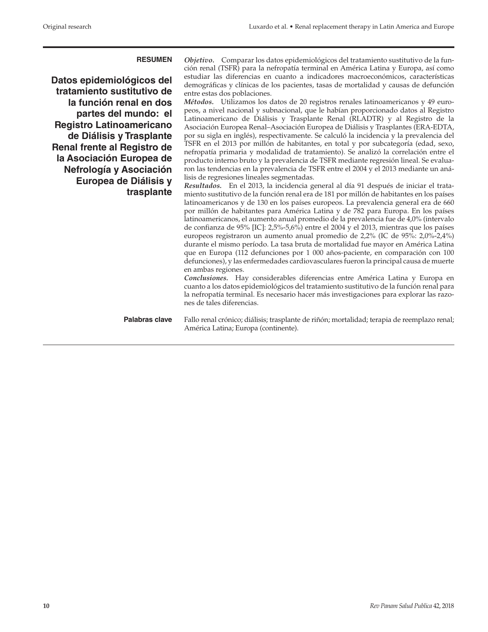**Datos epidemiológicos del tratamiento sustitutivo de la función renal en dos partes del mundo: el Registro Latinoamericano de Diálisis y Trasplante Renal frente al Registro de la Asociación Europea de Nefrología y Asociación Europea de Diálisis y trasplante**

**RESUMEN** *Objetivo.* Comparar los datos epidemiológicos del tratamiento sustitutivo de la función renal (TSFR) para la nefropatía terminal en América Latina y Europa, así como estudiar las diferencias en cuanto a indicadores macroeconómicos, características demográficas y clínicas de los pacientes, tasas de mortalidad y causas de defunción entre estas dos poblaciones.

> *Métodos.* Utilizamos los datos de 20 registros renales latinoamericanos y 49 europeos, a nivel nacional y subnacional, que le habían proporcionado datos al Registro Latinoamericano de Diálisis y Trasplante Renal (RLADTR) y al Registro de la Asociación Europea Renal–Asociación Europea de Diálisis y Trasplantes (ERA-EDTA, por su sigla en inglés), respectivamente. Se calculó la incidencia y la prevalencia del TSFR en el 2013 por millón de habitantes, en total y por subcategoría (edad, sexo, nefropatía primaria y modalidad de tratamiento). Se analizó la correlación entre el producto interno bruto y la prevalencia de TSFR mediante regresión lineal. Se evaluaron las tendencias en la prevalencia de TSFR entre el 2004 y el 2013 mediante un análisis de regresiones lineales segmentadas.

> *Resultados.* En el 2013, la incidencia general al día 91 después de iniciar el tratamiento sustitutivo de la función renal era de 181 por millón de habitantes en los países latinoamericanos y de 130 en los países europeos. La prevalencia general era de 660 por millón de habitantes para América Latina y de 782 para Europa. En los países latinoamericanos, el aumento anual promedio de la prevalencia fue de 4,0% (intervalo de confianza de 95% [IC]: 2,5%-5,6%) entre el 2004 y el 2013, mientras que los países europeos registraron un aumento anual promedio de 2,2% (IC de 95%: 2,0%-2,4%) durante el mismo período. La tasa bruta de mortalidad fue mayor en América Latina que en Europa (112 defunciones por 1 000 años-paciente, en comparación con 100 defunciones), y las enfermedades cardiovasculares fueron la principal causa de muerte en ambas regiones.

> *Conclusiones.* Hay considerables diferencias entre América Latina y Europa en cuanto a los datos epidemiológicos del tratamiento sustitutivo de la función renal para la nefropatía terminal. Es necesario hacer más investigaciones para explorar las razones de tales diferencias.

Palabras clave Fallo renal crónico; diálisis; trasplante de riñón; mortalidad; terapia de reemplazo renal; América Latina; Europa (continente).